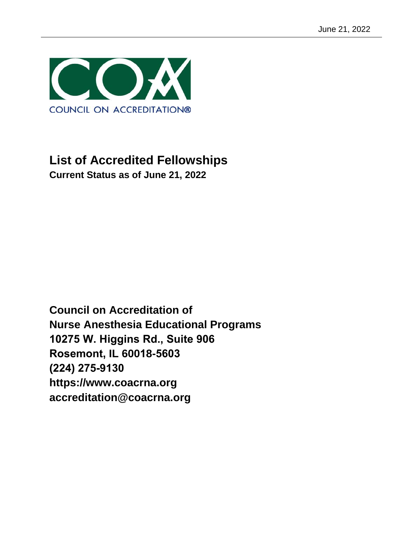

# **List of Accredited Fellowships Current Status as of June 21, 2022**

**Council on Accreditation of Nurse Anesthesia Educational Programs 10275 W. Higgins Rd., Suite 906 Rosemont, IL 60018-5603 (224) 275-9130 https://www.coacrna.org accreditation@coacrna.org**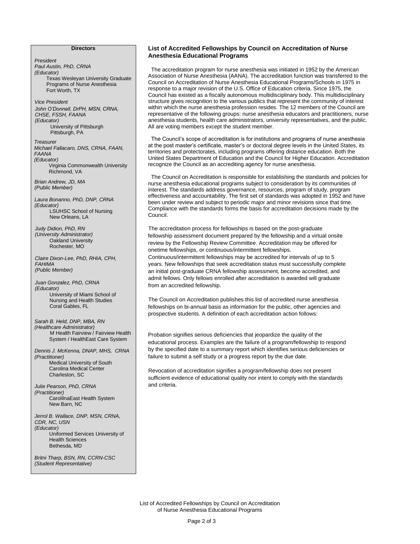#### **Directors**

*President Paul Austin, PhD, CRNA (Educator)* Texas Wesleyan University Graduate Programs of Nurse Anesthesia Fort Worth, TX *Vice President Treasurer Michael Fallacaro, DNS, CRNA, FAAN, FAANA (Educator)* Virginia Commonwealth University Richmond, VA *Brian Andrew, JD, MA (Public Member) Judy Didion, PhD, RN (University Administrator)* Oakland University Rochester, MO *Claire Dixon-Lee, PhD, RHIA, CPH, FAHIMA (Public Member) Juan Gonzalez, PhD, CRNA (Educator)* University of Miami School of Nursing and Health Studies Coral Gables, FL *John O'Donnell, DrPH, MSN, CRNA, CHSE, FSSH, FAANA (Educator)* University of Pittsburgh Pittsburgh, PA *Sarah B. Held, DNP, MBA, RN (Healthcare Administrator)* M Health Fairview / Fairview Health System / HealthEast Care System *Dennis J. McKenna, DNAP, MHS, CRNA (Practitioner)*  Medical University of South Carolina Medical Center Charleston, SC *Julie Pearson, PhD, CRNA (Practitioner)* CarolilnaEast Health System New Barn, NC *Jerrol B. Wallace, DNP, MSN, CRNA, CDR, NC, USN (Educator)* Uniformed Services University of Health Sciences Bethesda, MD *Britni Tharp, BSN, RN, CCRN-CSC Laura Bonanno, PhD, DNP, CRNA (Educator)*  LSUHSC School of Nursing New Orleans, LA

*(Student Representative)*

#### **List of Accredited Fellowships by Council on Accreditation of Nurse Anesthesia Educational Programs**

The accreditation program for nurse anesthesia was initiated in 1952 by the American Association of Nurse Anesthesia (AANA). The accreditation function was transferred to the Council on Accreditation of Nurse Anesthesia Educational Programs/Schools in 1975 in response to a major revision of the U.S. Office of Education criteria. Since 1975, the Council has existed as a fiscally autonomous multidisciplinary body. This multidisciplinary structure gives recognition to the various publics that represent the community of interest within which the nurse anesthesia profession resides. The 12 members of the Council are representative of the following groups: nurse anesthesia educators and practitioners, nurse anesthesia students, health care administrators, university representatives, and the public. All are voting members except the student member.

The Council's scope of accreditation is for institutions and programs of nurse anesthesia at the post master's certificate, master's or doctoral degree levels in the United States, its territories and protectorates, including programs offering distance education. Both the United States Department of Education and the Council for Higher Education. Accreditation recognize the Council as an accrediting agency for nurse anesthesia.

The Council on Accreditation is responsible for establishing the standards and policies for nurse anesthesia educational programs subject to consideration by its communities of interest. The standards address governance, resources, program of study, program effectiveness and accountability. The first set of standards was adopted in 1952 and have been under review and subject to periodic major and minor revisions since that time. Compliance with the standards forms the basis for accreditation decisions made by the Council.

The accreditation process for fellowships is based on the post-graduate fellowship assessment document prepared by the fellowship and a virtual onsite review by the Fellowship Review Committee. Accreditation may be offered for onetime fellowships, or continuous/intermittent fellowships.

Continuous/intermittent fellowships may be accredited for intervals of up to 5 years. New fellowships that seek accreditation status must successfully complete an initial post-graduate CRNA fellowship assessment, become accredited, and admit fellows. Only fellows enrolled after accreditation is awarded will graduate from an accredited fellowship.

The Council on Accreditation publishes this list of accredited nurse anesthesia fellowships on bi-annual basis as information for the public, other agencies and prospective students. A definition of each accreditation action follows:

Probation signifies serious deficiencies that jeopardize the quality of the educational process. Examples are the failure of a program/fellowship to respond by the specified date to a summary report which identifies serious deficiencies or failure to submit a self study or a progress report by the due date.

Revocation of accreditation signifies a program/fellowship does not present sufficient evidence of educational quality nor intent to comply with the standards and criteria.